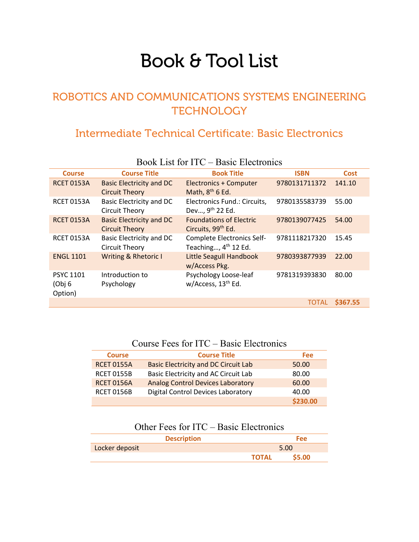# Book & Tool List

# ROBOTICS AND COMMUNICATIONS SYSTEMS ENGINEERING **TECHNOLOGY**

# Intermediate Technical Certificate: Basic Electronics

| $1000 \text{N}$ ERE IVI TTV<br><b>Davie Liectronic</b> o |                                                          |                                                                  |               |             |
|----------------------------------------------------------|----------------------------------------------------------|------------------------------------------------------------------|---------------|-------------|
| <b>Course</b>                                            | <b>Course Title</b>                                      | <b>Book Title</b>                                                | <b>ISBN</b>   | <b>Cost</b> |
| <b>RCET 0153A</b>                                        | <b>Basic Electricity and DC</b><br><b>Circuit Theory</b> | <b>Electronics + Computer</b><br>Math, 8 <sup>th</sup> 6 Ed.     | 9780131711372 | 141.10      |
| <b>RCET 0153A</b>                                        | Basic Electricity and DC<br>Circuit Theory               | Electronics Fund.: Circuits,<br>Dev, 9th 22 Ed.                  | 9780135583739 | 55.00       |
| <b>RCET 0153A</b>                                        | <b>Basic Electricity and DC</b><br><b>Circuit Theory</b> | <b>Foundations of Electric</b><br>Circuits, 99 <sup>th</sup> Ed. | 9780139077425 | 54.00       |
| <b>RCET 0153A</b>                                        | Basic Electricity and DC<br>Circuit Theory               | Complete Electronics Self-<br>Teaching, 4 <sup>th</sup> 12 Ed.   | 9781118217320 | 15.45       |
| <b>ENGL 1101</b>                                         | <b>Writing &amp; Rhetoric I</b>                          | <b>Little Seagull Handbook</b><br>w/Access Pkg.                  | 9780393877939 | 22.00       |
| <b>PSYC 1101</b><br>(Obj 6<br>Option)                    | Introduction to<br>Psychology                            | Psychology Loose-leaf<br>w/Access, 13 <sup>th</sup> Ed.          | 9781319393830 | 80.00       |
|                                                          |                                                          |                                                                  | <b>TOTAL</b>  | \$367.55    |

#### Book List for ITC – Basic Electronics

### Course Fees for ITC – Basic Electronics

| <b>Course</b>     | <b>Course Title</b>                         | Fee      |
|-------------------|---------------------------------------------|----------|
| <b>RCET 0155A</b> | <b>Basic Electricity and DC Circuit Lab</b> | 50.00    |
| <b>RCET 0155B</b> | Basic Electricity and AC Circuit Lab        | 80.00    |
| <b>RCET 0156A</b> | <b>Analog Control Devices Laboratory</b>    | 60.00    |
| <b>RCET 0156B</b> | <b>Digital Control Devices Laboratory</b>   | 40.00    |
|                   |                                             | \$230.00 |

## Other Fees for ITC – Basic Electronics

| <b>Description</b> |              | <b>Fee</b>   |  |
|--------------------|--------------|--------------|--|
| Locker deposit     |              | 5.00         |  |
|                    | <b>TOTAL</b> | <b>S5.00</b> |  |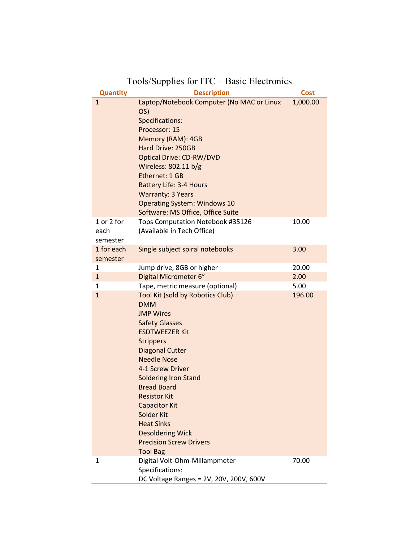| <b>Quantity</b>                | $\sim$<br><b>Description</b>                                                                                                                                                                                                                                                                                                                                                                                                        | <b>Cost</b> |
|--------------------------------|-------------------------------------------------------------------------------------------------------------------------------------------------------------------------------------------------------------------------------------------------------------------------------------------------------------------------------------------------------------------------------------------------------------------------------------|-------------|
| $\mathbf{1}$                   | Laptop/Notebook Computer (No MAC or Linux<br>OS)<br>Specifications:<br>Processor: 15<br>Memory (RAM): 4GB<br>Hard Drive: 250GB<br><b>Optical Drive: CD-RW/DVD</b><br>Wireless: 802.11 b/g<br>Ethernet: 1 GB<br><b>Battery Life: 3-4 Hours</b><br><b>Warranty: 3 Years</b><br><b>Operating System: Windows 10</b><br>Software: MS Office, Office Suite                                                                               | 1,000.00    |
| 1 or 2 for<br>each<br>semester | Tops Computation Notebook #35126<br>(Available in Tech Office)                                                                                                                                                                                                                                                                                                                                                                      | 10.00       |
| 1 for each<br>semester         | Single subject spiral notebooks                                                                                                                                                                                                                                                                                                                                                                                                     | 3.00        |
| 1                              | Jump drive, 8GB or higher                                                                                                                                                                                                                                                                                                                                                                                                           | 20.00       |
| $\mathbf{1}$                   | Digital Micrometer 6"                                                                                                                                                                                                                                                                                                                                                                                                               | 2.00        |
| 1                              | Tape, metric measure (optional)                                                                                                                                                                                                                                                                                                                                                                                                     | 5.00        |
| $\mathbf{1}$                   | Tool Kit (sold by Robotics Club)<br><b>DMM</b><br><b>JMP Wires</b><br><b>Safety Glasses</b><br><b>ESDTWEEZER Kit</b><br><b>Strippers</b><br><b>Diagonal Cutter</b><br><b>Needle Nose</b><br>4-1 Screw Driver<br><b>Soldering Iron Stand</b><br><b>Bread Board</b><br><b>Resistor Kit</b><br><b>Capacitor Kit</b><br>Solder Kit<br><b>Heat Sinks</b><br><b>Desoldering Wick</b><br><b>Precision Screw Drivers</b><br><b>Tool Bag</b> | 196.00      |
| 1                              | Digital Volt-Ohm-Millampmeter<br>Specifications:<br>DC Voltage Ranges = 2V, 20V, 200V, 600V                                                                                                                                                                                                                                                                                                                                         | 70.00       |

## Tools/Supplies for ITC – Basic Electronics